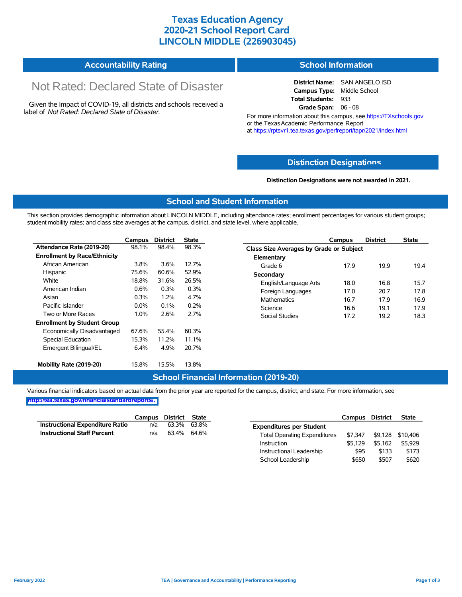### **Texas Education Agency 2020-21 School Report Card LINCOLN MIDDLE (226903045)**

| <b>Accountability Rating</b> | <b>School Information</b> |
|------------------------------|---------------------------|
|------------------------------|---------------------------|

# Not Rated: Declared State of Disaster

Given the Impact of COVID-19, all districts and schools received a label of *Not Rated: Declared State of Disaster.*

**District Name:** SAN ANGELO ISD **Campus Type:** Middle School **Total Students:** 933 **Grade Span:** 06 - 08

For more information about this campus, see https://TXschools.gov or the Texas Academic Performance Report at https://rptsvr1.tea.texas.gov/perfreport/tapr/2021/index.html

#### **Distinction Designat[ions](https://TXschools.gov)**

**Distinction Designations were not awarded in 2021.**

School Leadership  $$650$  \$507 \$620

#### **School and Student Information**

This section provides demographic information about LINCOLN MIDDLE, including attendance rates; enrollment percentages for various student groups; student mobility rates; and class size averages at the campus, district, and state level, where applicable.

|                                     | Campus  | <b>District</b> | <b>State</b> | Campus                        | <b>District</b>                         | <b>State</b> |  |  |  |  |
|-------------------------------------|---------|-----------------|--------------|-------------------------------|-----------------------------------------|--------------|--|--|--|--|
| Attendance Rate (2019-20)           | 98.1%   | 98.4%           | 98.3%        |                               | Class Size Averages by Grade or Subject |              |  |  |  |  |
| <b>Enrollment by Race/Ethnicity</b> |         |                 |              | Elementary                    |                                         |              |  |  |  |  |
| African American                    | 3.8%    | 3.6%            | 12.7%        | 17.9<br>Grade 6               | 19.9                                    | 19.4         |  |  |  |  |
| Hispanic                            | 75.6%   | 60.6%           | 52.9%        | Secondary                     |                                         |              |  |  |  |  |
| White                               | 18.8%   | 31.6%           | 26.5%        | 18.0<br>English/Language Arts | 16.8                                    | 15.7         |  |  |  |  |
| American Indian                     | 0.6%    | 0.3%            | 0.3%         | Foreign Languages<br>17.0     | 20.7                                    | 17.8         |  |  |  |  |
| Asian                               | 0.3%    | 1.2%            | 4.7%         | <b>Mathematics</b><br>16.7    | 17.9                                    | 16.9         |  |  |  |  |
| Pacific Islander                    | $0.0\%$ | 0.1%            | 0.2%         | 16.6<br>Science               | 19.1                                    | 17.9         |  |  |  |  |
| Two or More Races                   | 1.0%    | 2.6%            | 2.7%         | Social Studies<br>17.2        | 19.2                                    | 18.3         |  |  |  |  |
| <b>Enrollment by Student Group</b>  |         |                 |              |                               |                                         |              |  |  |  |  |
| Economically Disadvantaged          | 67.6%   | 55.4%           | 60.3%        |                               |                                         |              |  |  |  |  |
| Special Education                   | 15.3%   | 11.2%           | 11.1%        |                               |                                         |              |  |  |  |  |
| Emergent Bilingual/EL               | 6.4%    | 4.9%            | 20.7%        |                               |                                         |              |  |  |  |  |
|                                     |         |                 |              |                               |                                         |              |  |  |  |  |
| Mobility Rate (2019-20)             | 15.8%   | 15.5%           | 13.8%        |                               |                                         |              |  |  |  |  |

#### **School Financial Information (2019-20)**

Various financial indicators based on actual data from the prior year are reported for the campus, district, and state. For more information, see

**[http://tea.texas.gov/financialstandardreports/.](http://tea.texas.gov/financialstandardreports/)**

|                                        | Campus | District | State       |                                     | Campus  | <b>District</b> | <b>State</b>     |
|----------------------------------------|--------|----------|-------------|-------------------------------------|---------|-----------------|------------------|
| <b>Instructional Expenditure Ratio</b> | n/a    | 63.3%    | 63.8%       | <b>Expenditures per Student</b>     |         |                 |                  |
| <b>Instructional Staff Percent</b>     | n/a    |          | 63.4% 64.6% | <b>Total Operating Expenditures</b> | \$7.347 |                 | \$9,128 \$10,406 |
|                                        |        |          |             | Instruction                         | \$5.129 | \$5.162         | \$5,929          |
|                                        |        |          |             | Instructional Leadership            | \$95    | \$133           | \$173            |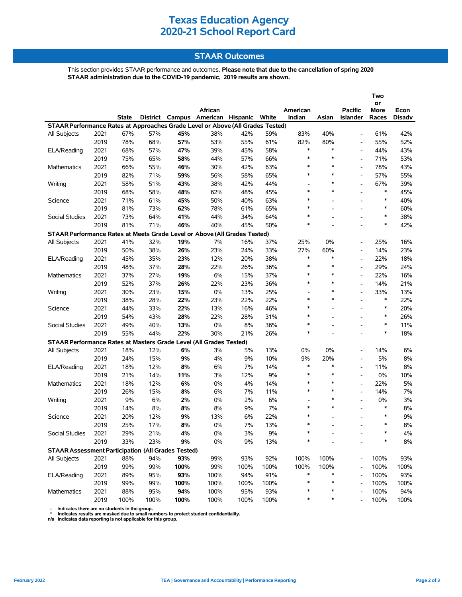# **Texas Education Agency 2020-21 School Report Card**

### **STAAR Outcomes**

This section provides STAAR performance and outcomes. **Please note that due to the cancellation of spring 2020 STAAR administration due to the COVID-19 pandemic, 2019 results are shown.**

| <b>State</b><br>District Campus American Hispanic White<br>Indian<br>Asian<br>Races<br>Islander<br>Disadv<br>STAAR Performance Rates at Approaches Grade Level or Above (All Grades Tested)<br>67%<br>57%<br>83%<br>40%<br>42%<br>2021<br>45%<br>38%<br>42%<br>59%<br>61%<br>All Subjects<br>$\blacksquare$<br>2019<br>78%<br>68%<br>57%<br>53%<br>55%<br>61%<br>82%<br>80%<br>55%<br>52%<br>$\overline{\phantom{a}}$<br>$\ast$<br>$\ast$<br>2021<br>68%<br>57%<br>47%<br>39%<br>45%<br>58%<br>44%<br>43%<br>ELA/Reading<br>2019<br>$\ast$<br>$\ast$<br>53%<br>75%<br>65%<br>58%<br>44%<br>57%<br>66%<br>71%<br>$\blacksquare$<br>$\ast$<br>2021<br>66%<br>55%<br>46%<br>42%<br>63%<br>$\ast$<br>78%<br>43%<br>Mathematics<br>30%<br>$\ast$<br>2019<br>82%<br>71%<br>59%<br>56%<br>58%<br>65%<br>$\ast$<br>57%<br>55%<br>$\overline{\phantom{a}}$<br>2021<br>58%<br>51%<br>39%<br>Writing<br>43%<br>38%<br>42%<br>44%<br>∗<br>67%<br>$\overline{\phantom{0}}$<br>$\overline{\phantom{a}}$<br>2019<br>58%<br>48%<br>$\ast$<br>$\ast$<br>$\ast$<br>45%<br>68%<br>62%<br>48%<br>45%<br>$\overline{\phantom{a}}$<br>$\ast$<br>$\ast$<br>2021<br>Science<br>71%<br>61%<br>45%<br>50%<br>40%<br>63%<br>40%<br>$\overline{a}$<br>$\ast$<br>2019<br>*<br>81%<br>73%<br>62%<br>78%<br>61%<br>65%<br>60%<br>$\overline{a}$<br>$\overline{a}$<br>$\ast$<br>$\ast$<br>2021<br>73%<br>64%<br>41%<br>44%<br>34%<br>64%<br>38%<br>Social Studies<br>$\overline{a}$<br>2019<br>$\ast$<br>$\ast$<br>81%<br>71%<br>46%<br>40%<br>50%<br>42%<br>45%<br>$\overline{a}$<br>$\overline{\phantom{a}}$<br>STAAR Performance Rates at Meets Grade Level or Above (All Grades Tested)<br>41%<br>32%<br>19%<br>7%<br>37%<br>25%<br>0%<br>16%<br>2021<br>16%<br>25%<br><b>All Subjects</b><br>$\overline{\phantom{a}}$<br>2019<br>26%<br>27%<br>50%<br>38%<br>23%<br>24%<br>33%<br>60%<br>14%<br>23%<br>$\blacksquare$<br>$\ast$<br>2021<br>45%<br>35%<br>23%<br>12%<br>20%<br>38%<br>$\ast$<br>22%<br>18%<br>ELA/Reading<br>2019<br>48%<br>37%<br>28%<br>22%<br>26%<br>36%<br>$\ast$<br>$\ast$<br>29%<br>24%<br>$\overline{a}$<br>$\ast$<br>2021<br>27%<br>19%<br>6%<br>37%<br>$\ast$<br>22%<br>16%<br>Mathematics<br>37%<br>15%<br>$\overline{\phantom{a}}$<br>$\ast$<br>2019<br>52%<br>37%<br>26%<br>22%<br>23%<br>36%<br>$\ast$<br>21%<br>14%<br>2021<br>30%<br>15%<br>0%<br>$\ast$<br>Writing<br>23%<br>13%<br>25%<br>33%<br>13%<br>$\overline{\phantom{a}}$<br>$\overline{a}$<br>$\ast$<br>$\ast$<br>$\ast$<br>2019<br>22%<br>22%<br>38%<br>28%<br>23%<br>22%<br>22%<br>$\overline{\phantom{a}}$<br>$\ast$<br>2021<br>44%<br>33%<br>22%<br>13%<br>16%<br>46%<br>$\ast$<br>20%<br>Science<br>$\ast$<br>2019<br>28%<br>$\ast$<br>26%<br>54%<br>43%<br>22%<br>28%<br>31%<br>$\overline{a}$<br>$\overline{a}$<br>$\ast$<br>$\ast$<br>2021<br>0%<br>36%<br>Social Studies<br>49%<br>40%<br>13%<br>8%<br>11%<br>$\overline{a}$<br>$\overline{a}$<br>2019<br>$\ast$<br>55%<br>44%<br>22%<br>30%<br>21%<br>26%<br>$\ast$<br>18%<br>$\overline{\phantom{a}}$<br>STAAR Performance Rates at Masters Grade Level (All Grades Tested)<br>12%<br>6%<br>0%<br>6%<br>2021<br>18%<br>3%<br>5%<br>13%<br>0%<br>14%<br>All Subjects<br>2019<br>24%<br>15%<br>9%<br>4%<br>9%<br>10%<br>9%<br>20%<br>5%<br>8%<br>$\ast$<br>$\ast$<br>2021<br>12%<br>8%<br>6%<br>7%<br>14%<br>11%<br>8%<br>ELA/Reading<br>18%<br>$\blacksquare$<br>2019<br>21%<br>14%<br>3%<br>9%<br>$\ast$<br>$\ast$<br>0%<br>10%<br>11%<br>12%<br>$\ast$<br>2021<br>18%<br>12%<br>6%<br>$0\%$<br>4%<br>14%<br>$\ast$<br>22%<br>5%<br>Mathematics<br>$\overline{\phantom{a}}$<br>$\ast$<br>2019<br>8%<br>6%<br>$\ast$<br>7%<br>26%<br>15%<br>7%<br>11%<br>14%<br>$\overline{\phantom{a}}$<br>2021<br>9%<br>6%<br>2%<br>$0\%$<br>6%<br>$\ast$<br>0%<br>3%<br>Writing<br>2%<br>$\overline{\phantom{0}}$<br>$\overline{\phantom{a}}$<br>7%<br>$\ast$<br>$\ast$<br>$\ast$<br>2019<br>8%<br>8%<br>8%<br>14%<br>8%<br>9%<br>2021<br>22%<br>$\ast$<br>$\ast$<br>9%<br>Science<br>20%<br>12%<br>9%<br>13%<br>6%<br>$\overline{a}$<br>2019<br>25%<br>8%<br>0%<br>7%<br>13%<br>$\ast$<br>$\ast$<br>8%<br>17%<br>Social Studies<br>29%<br>$0\%$<br>$9\%$<br>2021<br>21%<br>4%<br>3%<br>*<br>4%<br>∗<br>$8\%$<br>2019<br>33%<br>23%<br>$9\%$<br>$0\%$<br>9%<br>13%<br><b>STAAR Assessment Participation (All Grades Tested)</b><br>100%<br>100%<br>2021<br>88%<br>93%<br>99%<br>93%<br>92%<br>100%<br>93%<br>All Subjects<br>94%<br>2019<br>100%<br>99%<br>100%<br>100%<br>100%<br>100%<br>99%<br>99%<br>100%<br>100%<br>2021<br>93%<br>91%<br>$\ast$<br>100%<br>93%<br>ELA/Reading<br>89%<br>95%<br>100%<br>94%<br>$\ast$<br>2019<br>*<br>99%<br>99%<br>100%<br>100%<br>100%<br>100%<br>∗<br>100%<br>100%<br>2021<br>94%<br>100%<br>95%<br>93%<br>100%<br>94%<br>Mathematics<br>88%<br>95%<br>∗<br>*<br>∗ |  |      |      |      |      |         |      |      |          |  |                | Two<br>or   |      |  |
|----------------------------------------------------------------------------------------------------------------------------------------------------------------------------------------------------------------------------------------------------------------------------------------------------------------------------------------------------------------------------------------------------------------------------------------------------------------------------------------------------------------------------------------------------------------------------------------------------------------------------------------------------------------------------------------------------------------------------------------------------------------------------------------------------------------------------------------------------------------------------------------------------------------------------------------------------------------------------------------------------------------------------------------------------------------------------------------------------------------------------------------------------------------------------------------------------------------------------------------------------------------------------------------------------------------------------------------------------------------------------------------------------------------------------------------------------------------------------------------------------------------------------------------------------------------------------------------------------------------------------------------------------------------------------------------------------------------------------------------------------------------------------------------------------------------------------------------------------------------------------------------------------------------------------------------------------------------------------------------------------------------------------------------------------------------------------------------------------------------------------------------------------------------------------------------------------------------------------------------------------------------------------------------------------------------------------------------------------------------------------------------------------------------------------------------------------------------------------------------------------------------------------------------------------------------------------------------------------------------------------------------------------------------------------------------------------------------------------------------------------------------------------------------------------------------------------------------------------------------------------------------------------------------------------------------------------------------------------------------------------------------------------------------------------------------------------------------------------------------------------------------------------------------------------------------------------------------------------------------------------------------------------------------------------------------------------------------------------------------------------------------------------------------------------------------------------------------------------------------------------------------------------------------------------------------------------------------------------------------------------------------------------------------------------------------------------------------------------------------------------------------------------------------------------------------------------------------------------------------------------------------------------------------------------------------------------------------------------------------------------------------------------------------------------------------------------------------------------------------------------------------------------------------------------------------------------------------------------------------------------------------------------------------------------------------------------------------------------------------------------------------------------------------------------------------------------------------------------------------------------------------------------------------------------------------------------------------------------------------------------------------------------------------------------------------------------------------------------------------------------------------------------------------------------------------------|--|------|------|------|------|---------|------|------|----------|--|----------------|-------------|------|--|
|                                                                                                                                                                                                                                                                                                                                                                                                                                                                                                                                                                                                                                                                                                                                                                                                                                                                                                                                                                                                                                                                                                                                                                                                                                                                                                                                                                                                                                                                                                                                                                                                                                                                                                                                                                                                                                                                                                                                                                                                                                                                                                                                                                                                                                                                                                                                                                                                                                                                                                                                                                                                                                                                                                                                                                                                                                                                                                                                                                                                                                                                                                                                                                                                                                                                                                                                                                                                                                                                                                                                                                                                                                                                                                                                                                                                                                                                                                                                                                                                                                                                                                                                                                                                                                                                                                                                                                                                                                                                                                                                                                                                                                                                                                                                                                                                                      |  |      |      |      |      | African |      |      | American |  | <b>Pacific</b> | <b>More</b> | Econ |  |
|                                                                                                                                                                                                                                                                                                                                                                                                                                                                                                                                                                                                                                                                                                                                                                                                                                                                                                                                                                                                                                                                                                                                                                                                                                                                                                                                                                                                                                                                                                                                                                                                                                                                                                                                                                                                                                                                                                                                                                                                                                                                                                                                                                                                                                                                                                                                                                                                                                                                                                                                                                                                                                                                                                                                                                                                                                                                                                                                                                                                                                                                                                                                                                                                                                                                                                                                                                                                                                                                                                                                                                                                                                                                                                                                                                                                                                                                                                                                                                                                                                                                                                                                                                                                                                                                                                                                                                                                                                                                                                                                                                                                                                                                                                                                                                                                                      |  |      |      |      |      |         |      |      |          |  |                |             |      |  |
|                                                                                                                                                                                                                                                                                                                                                                                                                                                                                                                                                                                                                                                                                                                                                                                                                                                                                                                                                                                                                                                                                                                                                                                                                                                                                                                                                                                                                                                                                                                                                                                                                                                                                                                                                                                                                                                                                                                                                                                                                                                                                                                                                                                                                                                                                                                                                                                                                                                                                                                                                                                                                                                                                                                                                                                                                                                                                                                                                                                                                                                                                                                                                                                                                                                                                                                                                                                                                                                                                                                                                                                                                                                                                                                                                                                                                                                                                                                                                                                                                                                                                                                                                                                                                                                                                                                                                                                                                                                                                                                                                                                                                                                                                                                                                                                                                      |  |      |      |      |      |         |      |      |          |  |                |             |      |  |
|                                                                                                                                                                                                                                                                                                                                                                                                                                                                                                                                                                                                                                                                                                                                                                                                                                                                                                                                                                                                                                                                                                                                                                                                                                                                                                                                                                                                                                                                                                                                                                                                                                                                                                                                                                                                                                                                                                                                                                                                                                                                                                                                                                                                                                                                                                                                                                                                                                                                                                                                                                                                                                                                                                                                                                                                                                                                                                                                                                                                                                                                                                                                                                                                                                                                                                                                                                                                                                                                                                                                                                                                                                                                                                                                                                                                                                                                                                                                                                                                                                                                                                                                                                                                                                                                                                                                                                                                                                                                                                                                                                                                                                                                                                                                                                                                                      |  |      |      |      |      |         |      |      |          |  |                |             |      |  |
|                                                                                                                                                                                                                                                                                                                                                                                                                                                                                                                                                                                                                                                                                                                                                                                                                                                                                                                                                                                                                                                                                                                                                                                                                                                                                                                                                                                                                                                                                                                                                                                                                                                                                                                                                                                                                                                                                                                                                                                                                                                                                                                                                                                                                                                                                                                                                                                                                                                                                                                                                                                                                                                                                                                                                                                                                                                                                                                                                                                                                                                                                                                                                                                                                                                                                                                                                                                                                                                                                                                                                                                                                                                                                                                                                                                                                                                                                                                                                                                                                                                                                                                                                                                                                                                                                                                                                                                                                                                                                                                                                                                                                                                                                                                                                                                                                      |  |      |      |      |      |         |      |      |          |  |                |             |      |  |
|                                                                                                                                                                                                                                                                                                                                                                                                                                                                                                                                                                                                                                                                                                                                                                                                                                                                                                                                                                                                                                                                                                                                                                                                                                                                                                                                                                                                                                                                                                                                                                                                                                                                                                                                                                                                                                                                                                                                                                                                                                                                                                                                                                                                                                                                                                                                                                                                                                                                                                                                                                                                                                                                                                                                                                                                                                                                                                                                                                                                                                                                                                                                                                                                                                                                                                                                                                                                                                                                                                                                                                                                                                                                                                                                                                                                                                                                                                                                                                                                                                                                                                                                                                                                                                                                                                                                                                                                                                                                                                                                                                                                                                                                                                                                                                                                                      |  |      |      |      |      |         |      |      |          |  |                |             |      |  |
|                                                                                                                                                                                                                                                                                                                                                                                                                                                                                                                                                                                                                                                                                                                                                                                                                                                                                                                                                                                                                                                                                                                                                                                                                                                                                                                                                                                                                                                                                                                                                                                                                                                                                                                                                                                                                                                                                                                                                                                                                                                                                                                                                                                                                                                                                                                                                                                                                                                                                                                                                                                                                                                                                                                                                                                                                                                                                                                                                                                                                                                                                                                                                                                                                                                                                                                                                                                                                                                                                                                                                                                                                                                                                                                                                                                                                                                                                                                                                                                                                                                                                                                                                                                                                                                                                                                                                                                                                                                                                                                                                                                                                                                                                                                                                                                                                      |  |      |      |      |      |         |      |      |          |  |                |             |      |  |
|                                                                                                                                                                                                                                                                                                                                                                                                                                                                                                                                                                                                                                                                                                                                                                                                                                                                                                                                                                                                                                                                                                                                                                                                                                                                                                                                                                                                                                                                                                                                                                                                                                                                                                                                                                                                                                                                                                                                                                                                                                                                                                                                                                                                                                                                                                                                                                                                                                                                                                                                                                                                                                                                                                                                                                                                                                                                                                                                                                                                                                                                                                                                                                                                                                                                                                                                                                                                                                                                                                                                                                                                                                                                                                                                                                                                                                                                                                                                                                                                                                                                                                                                                                                                                                                                                                                                                                                                                                                                                                                                                                                                                                                                                                                                                                                                                      |  |      |      |      |      |         |      |      |          |  |                |             |      |  |
|                                                                                                                                                                                                                                                                                                                                                                                                                                                                                                                                                                                                                                                                                                                                                                                                                                                                                                                                                                                                                                                                                                                                                                                                                                                                                                                                                                                                                                                                                                                                                                                                                                                                                                                                                                                                                                                                                                                                                                                                                                                                                                                                                                                                                                                                                                                                                                                                                                                                                                                                                                                                                                                                                                                                                                                                                                                                                                                                                                                                                                                                                                                                                                                                                                                                                                                                                                                                                                                                                                                                                                                                                                                                                                                                                                                                                                                                                                                                                                                                                                                                                                                                                                                                                                                                                                                                                                                                                                                                                                                                                                                                                                                                                                                                                                                                                      |  |      |      |      |      |         |      |      |          |  |                |             |      |  |
|                                                                                                                                                                                                                                                                                                                                                                                                                                                                                                                                                                                                                                                                                                                                                                                                                                                                                                                                                                                                                                                                                                                                                                                                                                                                                                                                                                                                                                                                                                                                                                                                                                                                                                                                                                                                                                                                                                                                                                                                                                                                                                                                                                                                                                                                                                                                                                                                                                                                                                                                                                                                                                                                                                                                                                                                                                                                                                                                                                                                                                                                                                                                                                                                                                                                                                                                                                                                                                                                                                                                                                                                                                                                                                                                                                                                                                                                                                                                                                                                                                                                                                                                                                                                                                                                                                                                                                                                                                                                                                                                                                                                                                                                                                                                                                                                                      |  |      |      |      |      |         |      |      |          |  |                |             |      |  |
|                                                                                                                                                                                                                                                                                                                                                                                                                                                                                                                                                                                                                                                                                                                                                                                                                                                                                                                                                                                                                                                                                                                                                                                                                                                                                                                                                                                                                                                                                                                                                                                                                                                                                                                                                                                                                                                                                                                                                                                                                                                                                                                                                                                                                                                                                                                                                                                                                                                                                                                                                                                                                                                                                                                                                                                                                                                                                                                                                                                                                                                                                                                                                                                                                                                                                                                                                                                                                                                                                                                                                                                                                                                                                                                                                                                                                                                                                                                                                                                                                                                                                                                                                                                                                                                                                                                                                                                                                                                                                                                                                                                                                                                                                                                                                                                                                      |  |      |      |      |      |         |      |      |          |  |                |             |      |  |
|                                                                                                                                                                                                                                                                                                                                                                                                                                                                                                                                                                                                                                                                                                                                                                                                                                                                                                                                                                                                                                                                                                                                                                                                                                                                                                                                                                                                                                                                                                                                                                                                                                                                                                                                                                                                                                                                                                                                                                                                                                                                                                                                                                                                                                                                                                                                                                                                                                                                                                                                                                                                                                                                                                                                                                                                                                                                                                                                                                                                                                                                                                                                                                                                                                                                                                                                                                                                                                                                                                                                                                                                                                                                                                                                                                                                                                                                                                                                                                                                                                                                                                                                                                                                                                                                                                                                                                                                                                                                                                                                                                                                                                                                                                                                                                                                                      |  |      |      |      |      |         |      |      |          |  |                |             |      |  |
|                                                                                                                                                                                                                                                                                                                                                                                                                                                                                                                                                                                                                                                                                                                                                                                                                                                                                                                                                                                                                                                                                                                                                                                                                                                                                                                                                                                                                                                                                                                                                                                                                                                                                                                                                                                                                                                                                                                                                                                                                                                                                                                                                                                                                                                                                                                                                                                                                                                                                                                                                                                                                                                                                                                                                                                                                                                                                                                                                                                                                                                                                                                                                                                                                                                                                                                                                                                                                                                                                                                                                                                                                                                                                                                                                                                                                                                                                                                                                                                                                                                                                                                                                                                                                                                                                                                                                                                                                                                                                                                                                                                                                                                                                                                                                                                                                      |  |      |      |      |      |         |      |      |          |  |                |             |      |  |
|                                                                                                                                                                                                                                                                                                                                                                                                                                                                                                                                                                                                                                                                                                                                                                                                                                                                                                                                                                                                                                                                                                                                                                                                                                                                                                                                                                                                                                                                                                                                                                                                                                                                                                                                                                                                                                                                                                                                                                                                                                                                                                                                                                                                                                                                                                                                                                                                                                                                                                                                                                                                                                                                                                                                                                                                                                                                                                                                                                                                                                                                                                                                                                                                                                                                                                                                                                                                                                                                                                                                                                                                                                                                                                                                                                                                                                                                                                                                                                                                                                                                                                                                                                                                                                                                                                                                                                                                                                                                                                                                                                                                                                                                                                                                                                                                                      |  |      |      |      |      |         |      |      |          |  |                |             |      |  |
|                                                                                                                                                                                                                                                                                                                                                                                                                                                                                                                                                                                                                                                                                                                                                                                                                                                                                                                                                                                                                                                                                                                                                                                                                                                                                                                                                                                                                                                                                                                                                                                                                                                                                                                                                                                                                                                                                                                                                                                                                                                                                                                                                                                                                                                                                                                                                                                                                                                                                                                                                                                                                                                                                                                                                                                                                                                                                                                                                                                                                                                                                                                                                                                                                                                                                                                                                                                                                                                                                                                                                                                                                                                                                                                                                                                                                                                                                                                                                                                                                                                                                                                                                                                                                                                                                                                                                                                                                                                                                                                                                                                                                                                                                                                                                                                                                      |  |      |      |      |      |         |      |      |          |  |                |             |      |  |
|                                                                                                                                                                                                                                                                                                                                                                                                                                                                                                                                                                                                                                                                                                                                                                                                                                                                                                                                                                                                                                                                                                                                                                                                                                                                                                                                                                                                                                                                                                                                                                                                                                                                                                                                                                                                                                                                                                                                                                                                                                                                                                                                                                                                                                                                                                                                                                                                                                                                                                                                                                                                                                                                                                                                                                                                                                                                                                                                                                                                                                                                                                                                                                                                                                                                                                                                                                                                                                                                                                                                                                                                                                                                                                                                                                                                                                                                                                                                                                                                                                                                                                                                                                                                                                                                                                                                                                                                                                                                                                                                                                                                                                                                                                                                                                                                                      |  |      |      |      |      |         |      |      |          |  |                |             |      |  |
|                                                                                                                                                                                                                                                                                                                                                                                                                                                                                                                                                                                                                                                                                                                                                                                                                                                                                                                                                                                                                                                                                                                                                                                                                                                                                                                                                                                                                                                                                                                                                                                                                                                                                                                                                                                                                                                                                                                                                                                                                                                                                                                                                                                                                                                                                                                                                                                                                                                                                                                                                                                                                                                                                                                                                                                                                                                                                                                                                                                                                                                                                                                                                                                                                                                                                                                                                                                                                                                                                                                                                                                                                                                                                                                                                                                                                                                                                                                                                                                                                                                                                                                                                                                                                                                                                                                                                                                                                                                                                                                                                                                                                                                                                                                                                                                                                      |  |      |      |      |      |         |      |      |          |  |                |             |      |  |
|                                                                                                                                                                                                                                                                                                                                                                                                                                                                                                                                                                                                                                                                                                                                                                                                                                                                                                                                                                                                                                                                                                                                                                                                                                                                                                                                                                                                                                                                                                                                                                                                                                                                                                                                                                                                                                                                                                                                                                                                                                                                                                                                                                                                                                                                                                                                                                                                                                                                                                                                                                                                                                                                                                                                                                                                                                                                                                                                                                                                                                                                                                                                                                                                                                                                                                                                                                                                                                                                                                                                                                                                                                                                                                                                                                                                                                                                                                                                                                                                                                                                                                                                                                                                                                                                                                                                                                                                                                                                                                                                                                                                                                                                                                                                                                                                                      |  |      |      |      |      |         |      |      |          |  |                |             |      |  |
|                                                                                                                                                                                                                                                                                                                                                                                                                                                                                                                                                                                                                                                                                                                                                                                                                                                                                                                                                                                                                                                                                                                                                                                                                                                                                                                                                                                                                                                                                                                                                                                                                                                                                                                                                                                                                                                                                                                                                                                                                                                                                                                                                                                                                                                                                                                                                                                                                                                                                                                                                                                                                                                                                                                                                                                                                                                                                                                                                                                                                                                                                                                                                                                                                                                                                                                                                                                                                                                                                                                                                                                                                                                                                                                                                                                                                                                                                                                                                                                                                                                                                                                                                                                                                                                                                                                                                                                                                                                                                                                                                                                                                                                                                                                                                                                                                      |  |      |      |      |      |         |      |      |          |  |                |             |      |  |
|                                                                                                                                                                                                                                                                                                                                                                                                                                                                                                                                                                                                                                                                                                                                                                                                                                                                                                                                                                                                                                                                                                                                                                                                                                                                                                                                                                                                                                                                                                                                                                                                                                                                                                                                                                                                                                                                                                                                                                                                                                                                                                                                                                                                                                                                                                                                                                                                                                                                                                                                                                                                                                                                                                                                                                                                                                                                                                                                                                                                                                                                                                                                                                                                                                                                                                                                                                                                                                                                                                                                                                                                                                                                                                                                                                                                                                                                                                                                                                                                                                                                                                                                                                                                                                                                                                                                                                                                                                                                                                                                                                                                                                                                                                                                                                                                                      |  |      |      |      |      |         |      |      |          |  |                |             |      |  |
|                                                                                                                                                                                                                                                                                                                                                                                                                                                                                                                                                                                                                                                                                                                                                                                                                                                                                                                                                                                                                                                                                                                                                                                                                                                                                                                                                                                                                                                                                                                                                                                                                                                                                                                                                                                                                                                                                                                                                                                                                                                                                                                                                                                                                                                                                                                                                                                                                                                                                                                                                                                                                                                                                                                                                                                                                                                                                                                                                                                                                                                                                                                                                                                                                                                                                                                                                                                                                                                                                                                                                                                                                                                                                                                                                                                                                                                                                                                                                                                                                                                                                                                                                                                                                                                                                                                                                                                                                                                                                                                                                                                                                                                                                                                                                                                                                      |  |      |      |      |      |         |      |      |          |  |                |             |      |  |
|                                                                                                                                                                                                                                                                                                                                                                                                                                                                                                                                                                                                                                                                                                                                                                                                                                                                                                                                                                                                                                                                                                                                                                                                                                                                                                                                                                                                                                                                                                                                                                                                                                                                                                                                                                                                                                                                                                                                                                                                                                                                                                                                                                                                                                                                                                                                                                                                                                                                                                                                                                                                                                                                                                                                                                                                                                                                                                                                                                                                                                                                                                                                                                                                                                                                                                                                                                                                                                                                                                                                                                                                                                                                                                                                                                                                                                                                                                                                                                                                                                                                                                                                                                                                                                                                                                                                                                                                                                                                                                                                                                                                                                                                                                                                                                                                                      |  |      |      |      |      |         |      |      |          |  |                |             |      |  |
|                                                                                                                                                                                                                                                                                                                                                                                                                                                                                                                                                                                                                                                                                                                                                                                                                                                                                                                                                                                                                                                                                                                                                                                                                                                                                                                                                                                                                                                                                                                                                                                                                                                                                                                                                                                                                                                                                                                                                                                                                                                                                                                                                                                                                                                                                                                                                                                                                                                                                                                                                                                                                                                                                                                                                                                                                                                                                                                                                                                                                                                                                                                                                                                                                                                                                                                                                                                                                                                                                                                                                                                                                                                                                                                                                                                                                                                                                                                                                                                                                                                                                                                                                                                                                                                                                                                                                                                                                                                                                                                                                                                                                                                                                                                                                                                                                      |  |      |      |      |      |         |      |      |          |  |                |             |      |  |
|                                                                                                                                                                                                                                                                                                                                                                                                                                                                                                                                                                                                                                                                                                                                                                                                                                                                                                                                                                                                                                                                                                                                                                                                                                                                                                                                                                                                                                                                                                                                                                                                                                                                                                                                                                                                                                                                                                                                                                                                                                                                                                                                                                                                                                                                                                                                                                                                                                                                                                                                                                                                                                                                                                                                                                                                                                                                                                                                                                                                                                                                                                                                                                                                                                                                                                                                                                                                                                                                                                                                                                                                                                                                                                                                                                                                                                                                                                                                                                                                                                                                                                                                                                                                                                                                                                                                                                                                                                                                                                                                                                                                                                                                                                                                                                                                                      |  |      |      |      |      |         |      |      |          |  |                |             |      |  |
|                                                                                                                                                                                                                                                                                                                                                                                                                                                                                                                                                                                                                                                                                                                                                                                                                                                                                                                                                                                                                                                                                                                                                                                                                                                                                                                                                                                                                                                                                                                                                                                                                                                                                                                                                                                                                                                                                                                                                                                                                                                                                                                                                                                                                                                                                                                                                                                                                                                                                                                                                                                                                                                                                                                                                                                                                                                                                                                                                                                                                                                                                                                                                                                                                                                                                                                                                                                                                                                                                                                                                                                                                                                                                                                                                                                                                                                                                                                                                                                                                                                                                                                                                                                                                                                                                                                                                                                                                                                                                                                                                                                                                                                                                                                                                                                                                      |  |      |      |      |      |         |      |      |          |  |                |             |      |  |
|                                                                                                                                                                                                                                                                                                                                                                                                                                                                                                                                                                                                                                                                                                                                                                                                                                                                                                                                                                                                                                                                                                                                                                                                                                                                                                                                                                                                                                                                                                                                                                                                                                                                                                                                                                                                                                                                                                                                                                                                                                                                                                                                                                                                                                                                                                                                                                                                                                                                                                                                                                                                                                                                                                                                                                                                                                                                                                                                                                                                                                                                                                                                                                                                                                                                                                                                                                                                                                                                                                                                                                                                                                                                                                                                                                                                                                                                                                                                                                                                                                                                                                                                                                                                                                                                                                                                                                                                                                                                                                                                                                                                                                                                                                                                                                                                                      |  |      |      |      |      |         |      |      |          |  |                |             |      |  |
|                                                                                                                                                                                                                                                                                                                                                                                                                                                                                                                                                                                                                                                                                                                                                                                                                                                                                                                                                                                                                                                                                                                                                                                                                                                                                                                                                                                                                                                                                                                                                                                                                                                                                                                                                                                                                                                                                                                                                                                                                                                                                                                                                                                                                                                                                                                                                                                                                                                                                                                                                                                                                                                                                                                                                                                                                                                                                                                                                                                                                                                                                                                                                                                                                                                                                                                                                                                                                                                                                                                                                                                                                                                                                                                                                                                                                                                                                                                                                                                                                                                                                                                                                                                                                                                                                                                                                                                                                                                                                                                                                                                                                                                                                                                                                                                                                      |  |      |      |      |      |         |      |      |          |  |                |             |      |  |
|                                                                                                                                                                                                                                                                                                                                                                                                                                                                                                                                                                                                                                                                                                                                                                                                                                                                                                                                                                                                                                                                                                                                                                                                                                                                                                                                                                                                                                                                                                                                                                                                                                                                                                                                                                                                                                                                                                                                                                                                                                                                                                                                                                                                                                                                                                                                                                                                                                                                                                                                                                                                                                                                                                                                                                                                                                                                                                                                                                                                                                                                                                                                                                                                                                                                                                                                                                                                                                                                                                                                                                                                                                                                                                                                                                                                                                                                                                                                                                                                                                                                                                                                                                                                                                                                                                                                                                                                                                                                                                                                                                                                                                                                                                                                                                                                                      |  |      |      |      |      |         |      |      |          |  |                |             |      |  |
|                                                                                                                                                                                                                                                                                                                                                                                                                                                                                                                                                                                                                                                                                                                                                                                                                                                                                                                                                                                                                                                                                                                                                                                                                                                                                                                                                                                                                                                                                                                                                                                                                                                                                                                                                                                                                                                                                                                                                                                                                                                                                                                                                                                                                                                                                                                                                                                                                                                                                                                                                                                                                                                                                                                                                                                                                                                                                                                                                                                                                                                                                                                                                                                                                                                                                                                                                                                                                                                                                                                                                                                                                                                                                                                                                                                                                                                                                                                                                                                                                                                                                                                                                                                                                                                                                                                                                                                                                                                                                                                                                                                                                                                                                                                                                                                                                      |  |      |      |      |      |         |      |      |          |  |                |             |      |  |
|                                                                                                                                                                                                                                                                                                                                                                                                                                                                                                                                                                                                                                                                                                                                                                                                                                                                                                                                                                                                                                                                                                                                                                                                                                                                                                                                                                                                                                                                                                                                                                                                                                                                                                                                                                                                                                                                                                                                                                                                                                                                                                                                                                                                                                                                                                                                                                                                                                                                                                                                                                                                                                                                                                                                                                                                                                                                                                                                                                                                                                                                                                                                                                                                                                                                                                                                                                                                                                                                                                                                                                                                                                                                                                                                                                                                                                                                                                                                                                                                                                                                                                                                                                                                                                                                                                                                                                                                                                                                                                                                                                                                                                                                                                                                                                                                                      |  |      |      |      |      |         |      |      |          |  |                |             |      |  |
|                                                                                                                                                                                                                                                                                                                                                                                                                                                                                                                                                                                                                                                                                                                                                                                                                                                                                                                                                                                                                                                                                                                                                                                                                                                                                                                                                                                                                                                                                                                                                                                                                                                                                                                                                                                                                                                                                                                                                                                                                                                                                                                                                                                                                                                                                                                                                                                                                                                                                                                                                                                                                                                                                                                                                                                                                                                                                                                                                                                                                                                                                                                                                                                                                                                                                                                                                                                                                                                                                                                                                                                                                                                                                                                                                                                                                                                                                                                                                                                                                                                                                                                                                                                                                                                                                                                                                                                                                                                                                                                                                                                                                                                                                                                                                                                                                      |  |      |      |      |      |         |      |      |          |  |                |             |      |  |
|                                                                                                                                                                                                                                                                                                                                                                                                                                                                                                                                                                                                                                                                                                                                                                                                                                                                                                                                                                                                                                                                                                                                                                                                                                                                                                                                                                                                                                                                                                                                                                                                                                                                                                                                                                                                                                                                                                                                                                                                                                                                                                                                                                                                                                                                                                                                                                                                                                                                                                                                                                                                                                                                                                                                                                                                                                                                                                                                                                                                                                                                                                                                                                                                                                                                                                                                                                                                                                                                                                                                                                                                                                                                                                                                                                                                                                                                                                                                                                                                                                                                                                                                                                                                                                                                                                                                                                                                                                                                                                                                                                                                                                                                                                                                                                                                                      |  |      |      |      |      |         |      |      |          |  |                |             |      |  |
|                                                                                                                                                                                                                                                                                                                                                                                                                                                                                                                                                                                                                                                                                                                                                                                                                                                                                                                                                                                                                                                                                                                                                                                                                                                                                                                                                                                                                                                                                                                                                                                                                                                                                                                                                                                                                                                                                                                                                                                                                                                                                                                                                                                                                                                                                                                                                                                                                                                                                                                                                                                                                                                                                                                                                                                                                                                                                                                                                                                                                                                                                                                                                                                                                                                                                                                                                                                                                                                                                                                                                                                                                                                                                                                                                                                                                                                                                                                                                                                                                                                                                                                                                                                                                                                                                                                                                                                                                                                                                                                                                                                                                                                                                                                                                                                                                      |  |      |      |      |      |         |      |      |          |  |                |             |      |  |
|                                                                                                                                                                                                                                                                                                                                                                                                                                                                                                                                                                                                                                                                                                                                                                                                                                                                                                                                                                                                                                                                                                                                                                                                                                                                                                                                                                                                                                                                                                                                                                                                                                                                                                                                                                                                                                                                                                                                                                                                                                                                                                                                                                                                                                                                                                                                                                                                                                                                                                                                                                                                                                                                                                                                                                                                                                                                                                                                                                                                                                                                                                                                                                                                                                                                                                                                                                                                                                                                                                                                                                                                                                                                                                                                                                                                                                                                                                                                                                                                                                                                                                                                                                                                                                                                                                                                                                                                                                                                                                                                                                                                                                                                                                                                                                                                                      |  |      |      |      |      |         |      |      |          |  |                |             |      |  |
|                                                                                                                                                                                                                                                                                                                                                                                                                                                                                                                                                                                                                                                                                                                                                                                                                                                                                                                                                                                                                                                                                                                                                                                                                                                                                                                                                                                                                                                                                                                                                                                                                                                                                                                                                                                                                                                                                                                                                                                                                                                                                                                                                                                                                                                                                                                                                                                                                                                                                                                                                                                                                                                                                                                                                                                                                                                                                                                                                                                                                                                                                                                                                                                                                                                                                                                                                                                                                                                                                                                                                                                                                                                                                                                                                                                                                                                                                                                                                                                                                                                                                                                                                                                                                                                                                                                                                                                                                                                                                                                                                                                                                                                                                                                                                                                                                      |  |      |      |      |      |         |      |      |          |  |                |             |      |  |
|                                                                                                                                                                                                                                                                                                                                                                                                                                                                                                                                                                                                                                                                                                                                                                                                                                                                                                                                                                                                                                                                                                                                                                                                                                                                                                                                                                                                                                                                                                                                                                                                                                                                                                                                                                                                                                                                                                                                                                                                                                                                                                                                                                                                                                                                                                                                                                                                                                                                                                                                                                                                                                                                                                                                                                                                                                                                                                                                                                                                                                                                                                                                                                                                                                                                                                                                                                                                                                                                                                                                                                                                                                                                                                                                                                                                                                                                                                                                                                                                                                                                                                                                                                                                                                                                                                                                                                                                                                                                                                                                                                                                                                                                                                                                                                                                                      |  |      |      |      |      |         |      |      |          |  |                |             |      |  |
|                                                                                                                                                                                                                                                                                                                                                                                                                                                                                                                                                                                                                                                                                                                                                                                                                                                                                                                                                                                                                                                                                                                                                                                                                                                                                                                                                                                                                                                                                                                                                                                                                                                                                                                                                                                                                                                                                                                                                                                                                                                                                                                                                                                                                                                                                                                                                                                                                                                                                                                                                                                                                                                                                                                                                                                                                                                                                                                                                                                                                                                                                                                                                                                                                                                                                                                                                                                                                                                                                                                                                                                                                                                                                                                                                                                                                                                                                                                                                                                                                                                                                                                                                                                                                                                                                                                                                                                                                                                                                                                                                                                                                                                                                                                                                                                                                      |  |      |      |      |      |         |      |      |          |  |                |             |      |  |
|                                                                                                                                                                                                                                                                                                                                                                                                                                                                                                                                                                                                                                                                                                                                                                                                                                                                                                                                                                                                                                                                                                                                                                                                                                                                                                                                                                                                                                                                                                                                                                                                                                                                                                                                                                                                                                                                                                                                                                                                                                                                                                                                                                                                                                                                                                                                                                                                                                                                                                                                                                                                                                                                                                                                                                                                                                                                                                                                                                                                                                                                                                                                                                                                                                                                                                                                                                                                                                                                                                                                                                                                                                                                                                                                                                                                                                                                                                                                                                                                                                                                                                                                                                                                                                                                                                                                                                                                                                                                                                                                                                                                                                                                                                                                                                                                                      |  |      |      |      |      |         |      |      |          |  |                |             |      |  |
|                                                                                                                                                                                                                                                                                                                                                                                                                                                                                                                                                                                                                                                                                                                                                                                                                                                                                                                                                                                                                                                                                                                                                                                                                                                                                                                                                                                                                                                                                                                                                                                                                                                                                                                                                                                                                                                                                                                                                                                                                                                                                                                                                                                                                                                                                                                                                                                                                                                                                                                                                                                                                                                                                                                                                                                                                                                                                                                                                                                                                                                                                                                                                                                                                                                                                                                                                                                                                                                                                                                                                                                                                                                                                                                                                                                                                                                                                                                                                                                                                                                                                                                                                                                                                                                                                                                                                                                                                                                                                                                                                                                                                                                                                                                                                                                                                      |  |      |      |      |      |         |      |      |          |  |                |             |      |  |
|                                                                                                                                                                                                                                                                                                                                                                                                                                                                                                                                                                                                                                                                                                                                                                                                                                                                                                                                                                                                                                                                                                                                                                                                                                                                                                                                                                                                                                                                                                                                                                                                                                                                                                                                                                                                                                                                                                                                                                                                                                                                                                                                                                                                                                                                                                                                                                                                                                                                                                                                                                                                                                                                                                                                                                                                                                                                                                                                                                                                                                                                                                                                                                                                                                                                                                                                                                                                                                                                                                                                                                                                                                                                                                                                                                                                                                                                                                                                                                                                                                                                                                                                                                                                                                                                                                                                                                                                                                                                                                                                                                                                                                                                                                                                                                                                                      |  |      |      |      |      |         |      |      |          |  |                |             |      |  |
|                                                                                                                                                                                                                                                                                                                                                                                                                                                                                                                                                                                                                                                                                                                                                                                                                                                                                                                                                                                                                                                                                                                                                                                                                                                                                                                                                                                                                                                                                                                                                                                                                                                                                                                                                                                                                                                                                                                                                                                                                                                                                                                                                                                                                                                                                                                                                                                                                                                                                                                                                                                                                                                                                                                                                                                                                                                                                                                                                                                                                                                                                                                                                                                                                                                                                                                                                                                                                                                                                                                                                                                                                                                                                                                                                                                                                                                                                                                                                                                                                                                                                                                                                                                                                                                                                                                                                                                                                                                                                                                                                                                                                                                                                                                                                                                                                      |  |      |      |      |      |         |      |      |          |  |                |             |      |  |
|                                                                                                                                                                                                                                                                                                                                                                                                                                                                                                                                                                                                                                                                                                                                                                                                                                                                                                                                                                                                                                                                                                                                                                                                                                                                                                                                                                                                                                                                                                                                                                                                                                                                                                                                                                                                                                                                                                                                                                                                                                                                                                                                                                                                                                                                                                                                                                                                                                                                                                                                                                                                                                                                                                                                                                                                                                                                                                                                                                                                                                                                                                                                                                                                                                                                                                                                                                                                                                                                                                                                                                                                                                                                                                                                                                                                                                                                                                                                                                                                                                                                                                                                                                                                                                                                                                                                                                                                                                                                                                                                                                                                                                                                                                                                                                                                                      |  |      |      |      |      |         |      |      |          |  |                |             |      |  |
|                                                                                                                                                                                                                                                                                                                                                                                                                                                                                                                                                                                                                                                                                                                                                                                                                                                                                                                                                                                                                                                                                                                                                                                                                                                                                                                                                                                                                                                                                                                                                                                                                                                                                                                                                                                                                                                                                                                                                                                                                                                                                                                                                                                                                                                                                                                                                                                                                                                                                                                                                                                                                                                                                                                                                                                                                                                                                                                                                                                                                                                                                                                                                                                                                                                                                                                                                                                                                                                                                                                                                                                                                                                                                                                                                                                                                                                                                                                                                                                                                                                                                                                                                                                                                                                                                                                                                                                                                                                                                                                                                                                                                                                                                                                                                                                                                      |  |      |      |      |      |         |      |      |          |  |                |             |      |  |
|                                                                                                                                                                                                                                                                                                                                                                                                                                                                                                                                                                                                                                                                                                                                                                                                                                                                                                                                                                                                                                                                                                                                                                                                                                                                                                                                                                                                                                                                                                                                                                                                                                                                                                                                                                                                                                                                                                                                                                                                                                                                                                                                                                                                                                                                                                                                                                                                                                                                                                                                                                                                                                                                                                                                                                                                                                                                                                                                                                                                                                                                                                                                                                                                                                                                                                                                                                                                                                                                                                                                                                                                                                                                                                                                                                                                                                                                                                                                                                                                                                                                                                                                                                                                                                                                                                                                                                                                                                                                                                                                                                                                                                                                                                                                                                                                                      |  |      |      |      |      |         |      |      |          |  |                |             |      |  |
|                                                                                                                                                                                                                                                                                                                                                                                                                                                                                                                                                                                                                                                                                                                                                                                                                                                                                                                                                                                                                                                                                                                                                                                                                                                                                                                                                                                                                                                                                                                                                                                                                                                                                                                                                                                                                                                                                                                                                                                                                                                                                                                                                                                                                                                                                                                                                                                                                                                                                                                                                                                                                                                                                                                                                                                                                                                                                                                                                                                                                                                                                                                                                                                                                                                                                                                                                                                                                                                                                                                                                                                                                                                                                                                                                                                                                                                                                                                                                                                                                                                                                                                                                                                                                                                                                                                                                                                                                                                                                                                                                                                                                                                                                                                                                                                                                      |  |      |      |      |      |         |      |      |          |  |                |             |      |  |
|                                                                                                                                                                                                                                                                                                                                                                                                                                                                                                                                                                                                                                                                                                                                                                                                                                                                                                                                                                                                                                                                                                                                                                                                                                                                                                                                                                                                                                                                                                                                                                                                                                                                                                                                                                                                                                                                                                                                                                                                                                                                                                                                                                                                                                                                                                                                                                                                                                                                                                                                                                                                                                                                                                                                                                                                                                                                                                                                                                                                                                                                                                                                                                                                                                                                                                                                                                                                                                                                                                                                                                                                                                                                                                                                                                                                                                                                                                                                                                                                                                                                                                                                                                                                                                                                                                                                                                                                                                                                                                                                                                                                                                                                                                                                                                                                                      |  | 2019 | 100% | 100% | 100% | 100%    | 100% | 100% |          |  |                | 100%        | 100% |  |

- Indicates there are no students in the group.<br>\* Indicates results are masked due to small numbers to protect student confidentiality.<br>n/a Indicates data reporting is not applicable for this group.